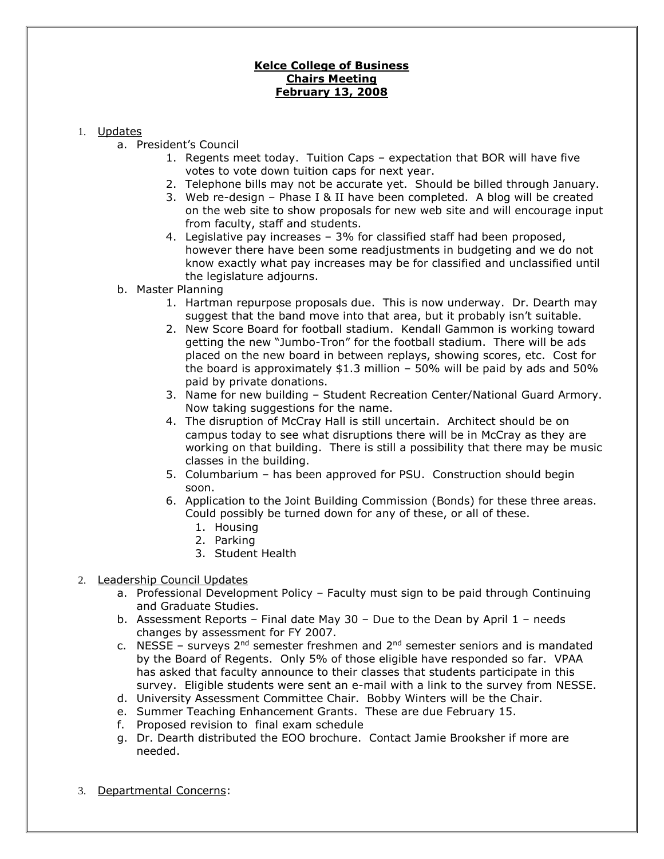## **Kelce College of Business Chairs Meeting February 13, 2008**

## 1. Updates

- a. President's Council
	- 1. Regents meet today. Tuition Caps expectation that BOR will have five votes to vote down tuition caps for next year.
	- 2. Telephone bills may not be accurate yet. Should be billed through January.
	- 3. Web re-design Phase I & II have been completed. A blog will be created on the web site to show proposals for new web site and will encourage input from faculty, staff and students.
	- 4. Legislative pay increases 3% for classified staff had been proposed, however there have been some readjustments in budgeting and we do not know exactly what pay increases may be for classified and unclassified until the legislature adjourns.
- b. Master Planning
	- 1. Hartman repurpose proposals due. This is now underway. Dr. Dearth may suggest that the band move into that area, but it probably isn't suitable.
	- 2. New Score Board for football stadium. Kendall Gammon is working toward getting the new "Jumbo-Tron" for the football stadium. There will be ads placed on the new board in between replays, showing scores, etc. Cost for the board is approximately  $$1.3$  million – 50% will be paid by ads and 50% paid by private donations.
	- 3. Name for new building Student Recreation Center/National Guard Armory. Now taking suggestions for the name.
	- 4. The disruption of McCray Hall is still uncertain. Architect should be on campus today to see what disruptions there will be in McCray as they are working on that building. There is still a possibility that there may be music classes in the building.
	- 5. Columbarium has been approved for PSU. Construction should begin soon.
	- 6. Application to the Joint Building Commission (Bonds) for these three areas. Could possibly be turned down for any of these, or all of these.
		- 1. Housing
		- 2. Parking
		- 3. Student Health

## 2. Leadership Council Updates

- a. Professional Development Policy Faculty must sign to be paid through Continuing and Graduate Studies.
- b. Assessment Reports Final date May 30 Due to the Dean by April 1 needs changes by assessment for FY 2007.
- c. NESSE surveys  $2^{nd}$  semester freshmen and  $2^{nd}$  semester seniors and is mandated by the Board of Regents. Only 5% of those eligible have responded so far. VPAA has asked that faculty announce to their classes that students participate in this survey. Eligible students were sent an e-mail with a link to the survey from NESSE.
- d. University Assessment Committee Chair. Bobby Winters will be the Chair.
- e. Summer Teaching Enhancement Grants. These are due February 15.
- f. Proposed revision to final exam schedule
- g. Dr. Dearth distributed the EOO brochure. Contact Jamie Brooksher if more are needed.
- 3. Departmental Concerns: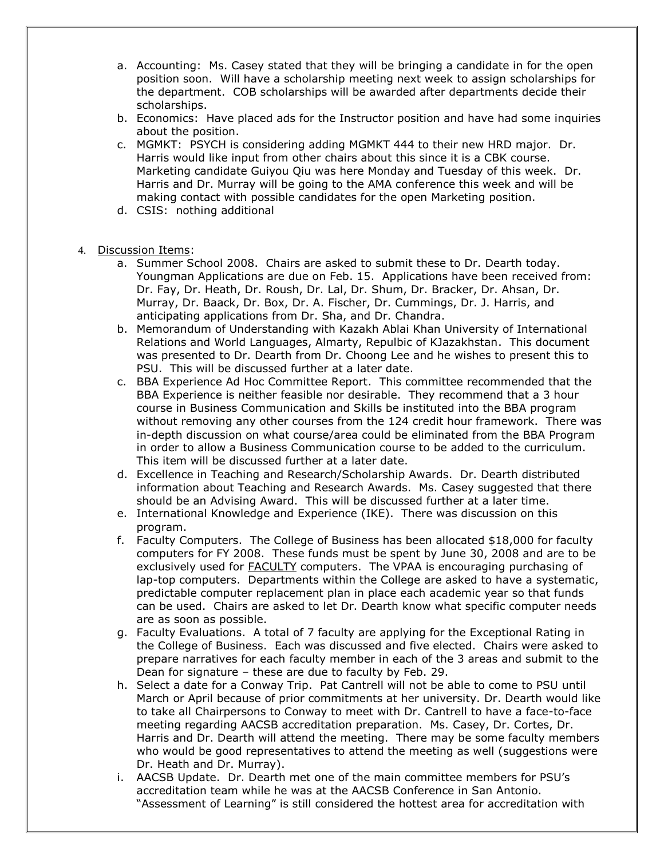- a. Accounting: Ms. Casey stated that they will be bringing a candidate in for the open position soon. Will have a scholarship meeting next week to assign scholarships for the department. COB scholarships will be awarded after departments decide their scholarships.
- b. Economics: Have placed ads for the Instructor position and have had some inquiries about the position.
- c. MGMKT: PSYCH is considering adding MGMKT 444 to their new HRD major. Dr. Harris would like input from other chairs about this since it is a CBK course. Marketing candidate Guiyou Qiu was here Monday and Tuesday of this week. Dr. Harris and Dr. Murray will be going to the AMA conference this week and will be making contact with possible candidates for the open Marketing position.
- d. CSIS: nothing additional
- 4. Discussion Items:
	- a. Summer School 2008. Chairs are asked to submit these to Dr. Dearth today. Youngman Applications are due on Feb. 15. Applications have been received from: Dr. Fay, Dr. Heath, Dr. Roush, Dr. Lal, Dr. Shum, Dr. Bracker, Dr. Ahsan, Dr. Murray, Dr. Baack, Dr. Box, Dr. A. Fischer, Dr. Cummings, Dr. J. Harris, and anticipating applications from Dr. Sha, and Dr. Chandra.
	- b. Memorandum of Understanding with Kazakh Ablai Khan University of International Relations and World Languages, Almarty, Repulbic of KJazakhstan. This document was presented to Dr. Dearth from Dr. Choong Lee and he wishes to present this to PSU. This will be discussed further at a later date.
	- c. BBA Experience Ad Hoc Committee Report. This committee recommended that the BBA Experience is neither feasible nor desirable. They recommend that a 3 hour course in Business Communication and Skills be instituted into the BBA program without removing any other courses from the 124 credit hour framework. There was in-depth discussion on what course/area could be eliminated from the BBA Program in order to allow a Business Communication course to be added to the curriculum. This item will be discussed further at a later date.
	- d. Excellence in Teaching and Research/Scholarship Awards. Dr. Dearth distributed information about Teaching and Research Awards. Ms. Casey suggested that there should be an Advising Award. This will be discussed further at a later time.
	- e. International Knowledge and Experience (IKE). There was discussion on this program.
	- f. Faculty Computers. The College of Business has been allocated \$18,000 for faculty computers for FY 2008. These funds must be spent by June 30, 2008 and are to be exclusively used for **FACULTY** computers. The VPAA is encouraging purchasing of lap-top computers. Departments within the College are asked to have a systematic, predictable computer replacement plan in place each academic year so that funds can be used. Chairs are asked to let Dr. Dearth know what specific computer needs are as soon as possible.
	- g. Faculty Evaluations. A total of 7 faculty are applying for the Exceptional Rating in the College of Business. Each was discussed and five elected. Chairs were asked to prepare narratives for each faculty member in each of the 3 areas and submit to the Dean for signature – these are due to faculty by Feb. 29.
	- h. Select a date for a Conway Trip. Pat Cantrell will not be able to come to PSU until March or April because of prior commitments at her university. Dr. Dearth would like to take all Chairpersons to Conway to meet with Dr. Cantrell to have a face-to-face meeting regarding AACSB accreditation preparation. Ms. Casey, Dr. Cortes, Dr. Harris and Dr. Dearth will attend the meeting. There may be some faculty members who would be good representatives to attend the meeting as well (suggestions were Dr. Heath and Dr. Murray).
	- i. AACSB Update. Dr. Dearth met one of the main committee members for PSU's accreditation team while he was at the AACSB Conference in San Antonio. "Assessment of Learning" is still considered the hottest area for accreditation with